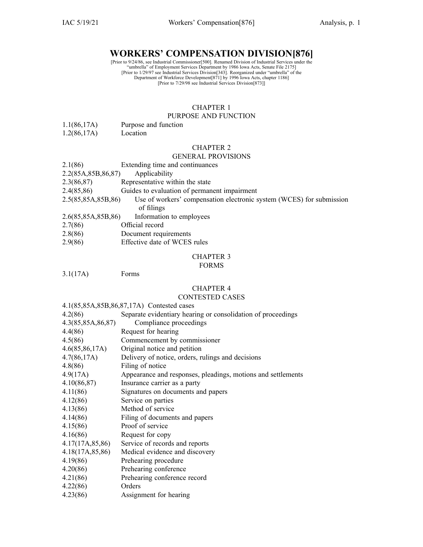# **WORKERS' COMPENSATION DIVISION[876]**

[Prior to 9/24/86, see Industrial Commissioner[500]. Renamed Division of Industrial Services under the<br>
"umbrella" of Employment Services Department by 1986 Iowa Acts, Senate File 2175]<br>
[Prior to 1/29/97 see Industrial Se

# CHAPTER 1

## PURPOSE AND FUNCTION

- 1.1(86,17A) Purpose and function
- 1.2(86,17A) Location

# CHAPTER 2

# GENERAL PROVISIONS

| 2.1(86)                  | Extending time and continuances                                      |
|--------------------------|----------------------------------------------------------------------|
| 2.2(85A, 85B, 86, 87)    | Applicability                                                        |
| 2.3(86,87)               | Representative within the state                                      |
| 2.4(85,86)               | Guides to evaluation of permanent impairment                         |
| 2.5(85,85A,85B,86)       | Use of workers' compensation electronic system (WCES) for submission |
|                          | of filings                                                           |
| 2.6(85,85A,85B,86)       | Information to employees                                             |
| 2.7(86)                  | Official record                                                      |
| $\sim$ 0 $\sim$ 0 $\sim$ | $\blacksquare$ . The set of $\blacksquare$                           |

- 2.8(86) Document requirements
- 2.9(86) Effective date of WCES rules

# CHAPTER 3

#### FORMS

3.1(17A) Forms

#### CHAPTER 4

# CONTESTED CASES

#### 4.1(85,85A,85B,86,87,17A) Contested cases

| 4.2(86)           | Separate evidentiary hearing or consolidation of proceedings |
|-------------------|--------------------------------------------------------------|
| 4.3(85,85A,86,87) | Compliance proceedings                                       |
| 4.4(86)           | Request for hearing                                          |
| 4.5(86)           | Commencement by commissioner                                 |
| 4.6(85,86,17A)    | Original notice and petition                                 |
| 4.7(86,17A)       | Delivery of notice, orders, rulings and decisions            |
| 4.8(86)           | Filing of notice                                             |
| 4.9(17A)          | Appearance and responses, pleadings, motions and settlements |
| 4.10(86,87)       | Insurance carrier as a party                                 |
| 4.11(86)          | Signatures on documents and papers                           |
| 4.12(86)          | Service on parties                                           |
| 4.13(86)          | Method of service                                            |
| 4.14(86)          | Filing of documents and papers                               |
| 4.15(86)          | Proof of service                                             |
| 4.16(86)          | Request for copy                                             |
| 4.17(17A, 85, 86) | Service of records and reports                               |
| 4.18(17A, 85, 86) | Medical evidence and discovery                               |
| 4.19(86)          | Prehearing procedure                                         |
| 4.20(86)          | Prehearing conference                                        |
| 4.21(86)          | Prehearing conference record                                 |
| 4.22(86)          | Orders                                                       |
| 4.23(86)          | Assignment for hearing                                       |
|                   |                                                              |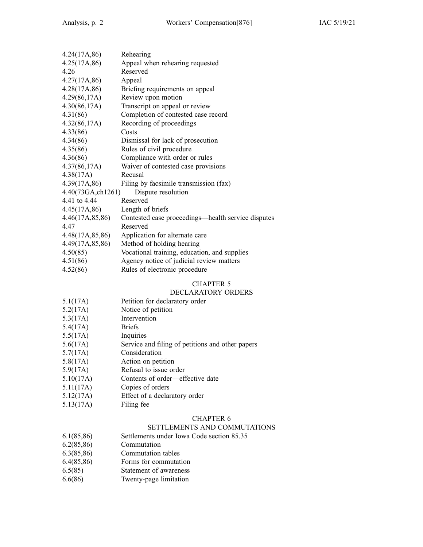| 4.24(17A, 86)     | Rehearing                                          |
|-------------------|----------------------------------------------------|
| 4.25(17A, 86)     | Appeal when rehearing requested                    |
| 4.26              | Reserved                                           |
| 4.27(17A, 86)     | Appeal                                             |
| 4.28(17A, 86)     | Briefing requirements on appeal                    |
| 4.29(86,17A)      | Review upon motion                                 |
| 4.30(86,17A)      | Transcript on appeal or review                     |
| 4.31(86)          | Completion of contested case record                |
| 4.32(86,17A)      | Recording of proceedings                           |
| 4.33(86)          | Costs                                              |
| 4.34(86)          | Dismissal for lack of prosecution                  |
| 4.35(86)          | Rules of civil procedure                           |
| 4.36(86)          | Compliance with order or rules                     |
| 4.37(86,17A)      | Waiver of contested case provisions                |
| 4.38(17A)         | Recusal                                            |
| 4.39(17A, 86)     | Filing by facsimile transmission (fax)             |
| 4.40(73GA,ch1261) | Dispute resolution                                 |
| 4.41 to 4.44      | Reserved                                           |
| 4.45(17A, 86)     | Length of briefs                                   |
| 4.46(17A, 85, 86) | Contested case proceedings—health service disputes |
| 4.47              | Reserved                                           |
| 4.48(17A,85,86)   | Application for alternate care                     |
| 4.49(17A, 85, 86) | Method of holding hearing                          |
| 4.50(85)          | Vocational training, education, and supplies       |
| 4.51(86)          | Agency notice of judicial review matters           |
| 4.52(86)          | Rules of electronic procedure                      |

# CHAPTER 5

# DECLARATORY ORDERS

- 5.1(17A) Petition for declaratory order
- 5.2(17A) Notice of petition
- 5.3(17A) Intervention
- 5.4(17A) Briefs
- 5.5(17A) Inquiries
- 5.6(17A) Service and filing of petitions and other papers
- 5.7(17A) Consideration
- 5.8(17A) Action on petition
- 5.9(17A) Refusal to issue order
- 5.10(17A) Contents of order—effective date
- 5.11(17A) Copies of orders
- 5.12(17A) Effect of <sup>a</sup> declaratory order
- 5.13(17A) Filing fee

# CHAPTER 6

#### SETTLEMENTS AND COMMUTATIONS

- 6.1(85,86) Settlements under Iowa Code section [85.35](https://www.legis.iowa.gov/docs/ico/section/85.35.pdf)
- 6.2(85,86) Commutation
- 6.3(85,86) Commutation tables
- 6.4(85,86) Forms for commutation
- 6.5(85) Statement of awareness
- 6.6(86) Twenty-page limitation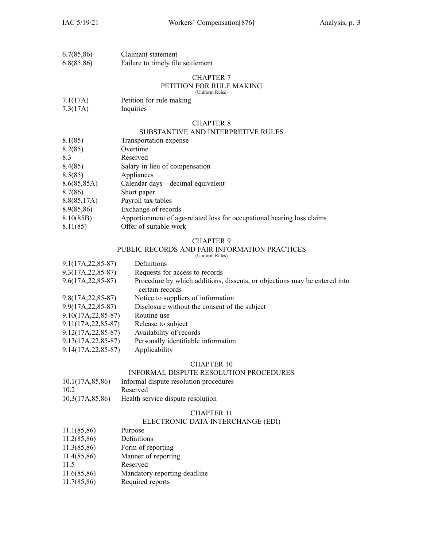| 6.7(85,86) | Claimant statement                |
|------------|-----------------------------------|
| 6.8(85,86) | Failure to timely file settlement |

# CHAPTER 7

#### PETITION FOR RULE MAKING (Uniform Rules)

- 7.1(17A) Petition for rule making
- 7.3(17A) Inquiries

#### CHAPTER 8

#### SUBSTANTIVE AND INTERPRETIVE RULES

- 8.1(85) Transportation expense
- 8.2(85) Overtime

8.3 Reserved

- 8.4(85) Salary in lieu of compensation
- 8.5(85) Appliances
- 8.6(85,85A) Calendar days—decimal equivalent
- 8.7(86) Short paper
- 8.8(85,17A) Payroll tax tables
- 8.9(85,86) Exchange of records
- 8.10(85B) Apportionment of age-related loss for occupational hearing loss claims
- 8.11(85) Offer of suitable work

#### CHAPTER 9

# PUBLIC RECORDS AND FAIR INFORMATION PRACTICES

(Uniform Rules)

| $9.1(17A, 22, 85-87)$  | Definitions                                                                                  |
|------------------------|----------------------------------------------------------------------------------------------|
| $9.3(17A, 22, 85-87)$  | Requests for access to records                                                               |
| $9.6(17A, 22, 85-87)$  | Procedure by which additions, dissents, or objections may be entered into<br>certain records |
| $9.8(17A, 22, 85-87)$  | Notice to suppliers of information                                                           |
| $9.9(17A, 22, 85-87)$  | Disclosure without the consent of the subject                                                |
| $9.10(17A, 22, 85-87)$ | Routine use                                                                                  |
| $9.11(17A, 22, 85-87)$ | Release to subject                                                                           |
| $9.12(17A, 22, 85-87)$ | Availability of records                                                                      |
| $9.13(17A, 22, 85-87)$ | Personally identifiable information                                                          |
|                        |                                                                                              |

9.14(17A,22,85-87) Applicability

# CHAPTER 10

## INFORMAL DISPUTE RESOLUTION PROCEDURES

| 10.1(17A, 85, 86) | Informal dispute resolution procedures |
|-------------------|----------------------------------------|
| 10.2              | Reserved                               |
| 10.3(17A, 85, 86) | Health service dispute resolution      |

#### CHAPTER 11

#### ELECTRONIC DATA INTERCHANGE (EDI)

- 11.1(85,86) Purpose
- 11.2(85,86) Definitions
- 11.3(85,86) Form of reporting
- 11.4(85,86) Manner of reporting
- 11.5 Reserved
- 11.6(85,86) Mandatory reporting deadline
- 11.7(85,86) Required reports